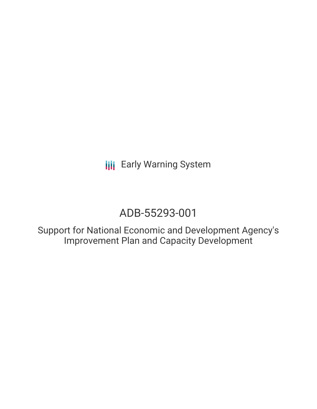**III** Early Warning System

# ADB-55293-001

Support for National Economic and Development Agency's Improvement Plan and Capacity Development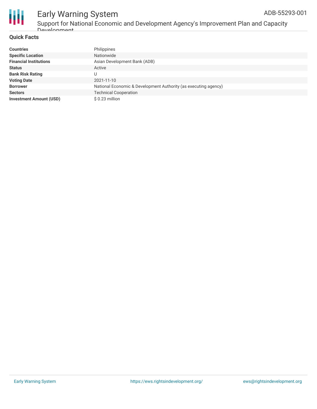

### Early Warning System ADB-55293-001

### **Quick Facts**

| <b>Countries</b>               | Philippines                                                     |
|--------------------------------|-----------------------------------------------------------------|
| <b>Specific Location</b>       | Nationwide                                                      |
| <b>Financial Institutions</b>  | Asian Development Bank (ADB)                                    |
| <b>Status</b>                  | Active                                                          |
| <b>Bank Risk Rating</b>        |                                                                 |
| <b>Voting Date</b>             | 2021-11-10                                                      |
| <b>Borrower</b>                | National Economic & Development Authority (as executing agency) |
| <b>Sectors</b>                 | <b>Technical Cooperation</b>                                    |
| <b>Investment Amount (USD)</b> | $$0.23$ million                                                 |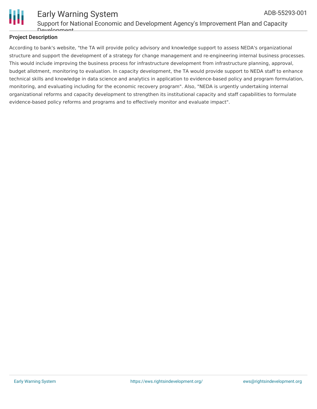

#### Early Warning System Support for National Economic and Development Agency's Improvement Plan and Capacity Development ADB-55293-001

### **Project Description**

According to bank's website, "the TA will provide policy advisory and knowledge support to assess NEDA's organizational structure and support the development of a strategy for change management and re-engineering internal business processes. This would include improving the business process for infrastructure development from infrastructure planning, approval, budget allotment, monitoring to evaluation. In capacity development, the TA would provide support to NEDA staff to enhance technical skills and knowledge in data science and analytics in application to evidence-based policy and program formulation, monitoring, and evaluating including for the economic recovery program". Also, "NEDA is urgently undertaking internal organizational reforms and capacity development to strengthen its institutional capacity and staff capabilities to formulate evidence-based policy reforms and programs and to effectively monitor and evaluate impact".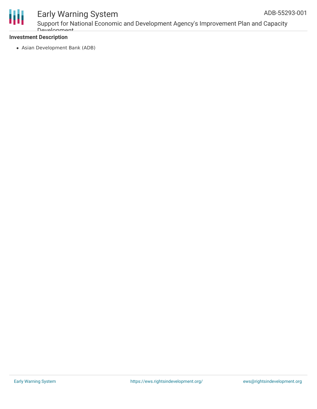

## Early Warning System

Support for National Economic and Development Agency's Improvement Plan and Capacity Development

### **Investment Description**

Asian Development Bank (ADB)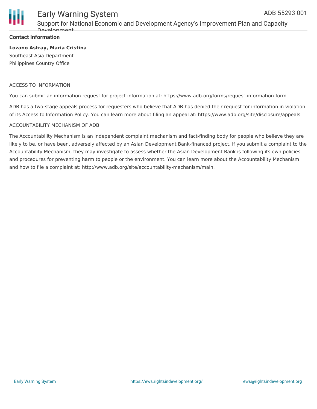

### Early Warning System

Support for National Economic and Development Agency's Improvement Plan and Capacity Development

### **Contact Information**

### **Lozano Astray, Maria Cristina**

Southeast Asia Department Philippines Country Office

### ACCESS TO INFORMATION

You can submit an information request for project information at: https://www.adb.org/forms/request-information-form

ADB has a two-stage appeals process for requesters who believe that ADB has denied their request for information in violation of its Access to Information Policy. You can learn more about filing an appeal at: https://www.adb.org/site/disclosure/appeals

#### ACCOUNTABILITY MECHANISM OF ADB

The Accountability Mechanism is an independent complaint mechanism and fact-finding body for people who believe they are likely to be, or have been, adversely affected by an Asian Development Bank-financed project. If you submit a complaint to the Accountability Mechanism, they may investigate to assess whether the Asian Development Bank is following its own policies and procedures for preventing harm to people or the environment. You can learn more about the Accountability Mechanism and how to file a complaint at: http://www.adb.org/site/accountability-mechanism/main.